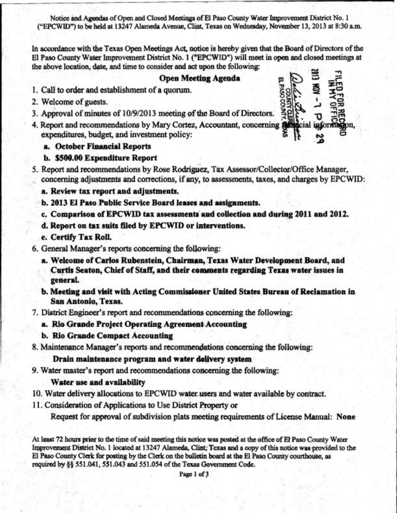Notice and Agendas of Open and Closed Meetings of El Paso County Water Improvement District No. 1 ("EPCWID") to be held at 13247 Alameda Avenue, Clint, Texas on Wednesday, November 13, 2013 at 8:30 a.m.

In accordance with the Texas Open Meetings Act, notice is hereby given that the Board of Directors of the El Paso County Water Improvement District No. 1 ("EPCWID") will meet in open and closed meetings at the above location, date, and time to consider and act upon the following:

### **Open Meeting Agenda**

- 1. Call to order and establishment of a quorum.
- 2. Welcome of guests.
- 3. Approval of minutes of 10/9/2013 meeting of the Board of Directors.
- 4. Report and recommendations by Mary Cortez, Accountant, concerning all expenditures, budget, and investment policy:

### a. October Financial Reports

#### b. \$500.00 Expenditure Report

5. Report and recommendations by Rose Rodriguez, Tax Assessor/Collector/Office Manager, concerning adjustments and corrections, if any, to assessments, taxes, and charges by EPCWID:

a. Review tax report and adjustments.

- b. 2013 El Paso Public Service Board leases and assignments.
- c. Comparison of EPCWID tax assessments and collection and during 2011 and 2012.
- d. Report on tax suits filed by EPCWID or interventions.
- e. Certify Tax Roll.
- 6. General Manager's reports concerning the following:
	- a. Welcome of Carlos Rubenstein, Chairman, Texas Water Development Board, and Curtis Seaton, Chief of Staff, and their comments regarding Texas water issues in general.
	- b. Meeting and visit with Acting Commissioner United States Bureau of Reclamation in San Antonio, Texas.
- 7. District Engineer's report and recommendations concerning the following:

### a. Rio Grande Project Operating Agreement Accounting

b. Rio Grande Compact Accounting

8. Maintenance Manager's reports and recommendations concerning the following:

## Drain maintenance program and water delivery system

9. Water master's report and recommendations concerning the following:

# Water use and availability

- 10. Water delivery allocations to EPCWID water users and water available by contract.
- 11. Consideration of Applications to Use District Property or

Request for approval of subdivision plats meeting requirements of License Manual: None

At least 72 hours prior to the time of said meeting this notice was posted at the office of El Paso County Water Improvement District No. 1 located at 13247 Alameda, Clint; Texas and a copy of this notice was provided to the El Paso County Clerk for posting by the Clerk on the bulletin board at the El Paso County courthouse, as required by §§ 551.041, 551.043 and 551.054 of the Texas Government Code.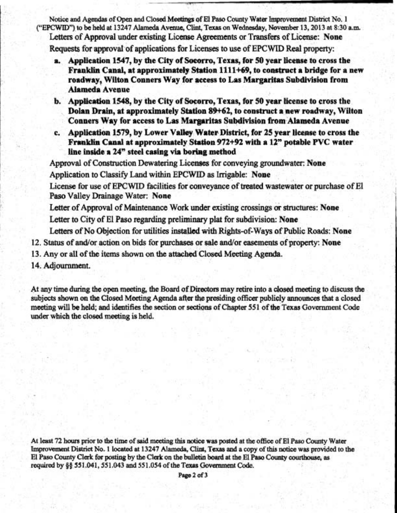Notice and **Agendas** of **Open** and Closed **M+ sf El Paw** County Water **Improvemmt** District No, 1 ("EPCWID") to be held at 13247 Alameda Avenue, Clint, Texas on Wednesday, November 13, 2013 at 8:30 a.m. Letters of Approval under existing License Agreements or Transfers of License: None **Requests** for approval **of** applications for Licenses to use of **EPCWID Red** property:

- a. Application 1547, by the City of Socorro, Texas, for 50 year license to cross the Franklin Canal, at approximately Station 1111+69, to construct a bridge for a new roadway, Wilton Conners Way for access to Las Margaritas Subdivision from **Alameda Avenue**
- b. Apphtion 1548, by the City of **Socsorro, Texas,** for **\$0** year license to cross the **Dolan Drain, at approximately Station 89+62, to construct a new roadway, Wilton Conners Way for access to Las Margaritas Subdivision from Alameda Avenue**
- c. Application 1579, by Lower Valley Water District, for 25 year license to cross the **Franklin Canal at approximately Station 972+92 with a 12" potable PVC water** line inside a 24" steel casing via boring method

Approval of Construction Dewatering Licenses for conveying groundwater: None Application to Classify Land within **EPCWID** as **Irrigable:** None

License for use of EPCWID facilities for conveyance of treated wastewater or purchase of El Paso Valley Drainage Water: None

Letter of Approval of Maintenance Work under existing crossings or structures: None

Letter to City of El Paso regarding preliminary plat for subdivision: None

Letters of No Objection for utilities installed with Rights-of-Ways of Public Roads: None

- 12. Status of and/or action on bids for purchases or sale and/or easements of property: None
- 13. **Any** or all of the items shown on the **attwbd** Closed **Meeting Agerada.**
- 14. Adjournment.

At any time during the open meeting, the Board of Directors may retire into a closed meeting to discuss the  $subjects$  shown on the Closed Meeting Agenda after the presiding officer publicly announces that a closed **meeting will be held; and identifies the section or sections of Chapter 551 of the Texas Government Code** mder **which** the closed **meeting** is held.

At **last** 72 **hours** prior to **the** time **of said meeting this notice was** posted at **the** office of El **Paso County Water Impmwxmmt District No. 1** located **at 13247 Alameda, Clint, Texas and a copy of this odice was pravided** to the El **Paso** County **Clerk for posting by** the **Clerk on the** bulletin **bard** at **the** El **Paso County co\*, as required by \$9 551.041,551.043 and 551.054 of the Texas Govmmt Code.**